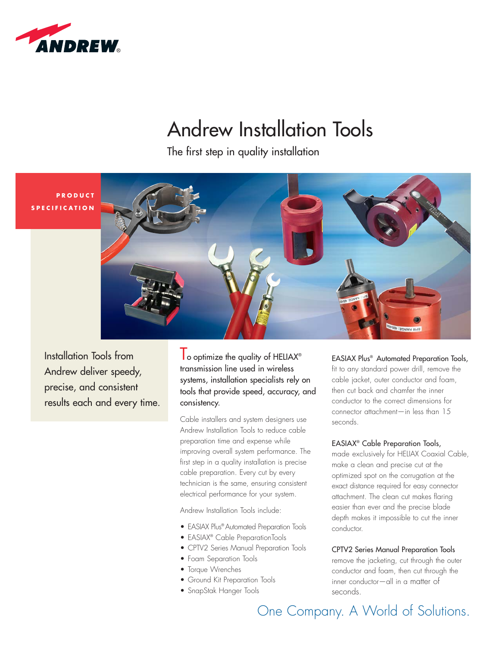

# Andrew Installation Tools

The first step in quality installation





Installation Tools from Andrew deliver speedy, precise, and consistent results each and every time.  $\mathsf I$  o optimize the quality of HELIAX® transmission line used in wireless systems, installation specialists rely on tools that provide speed, accuracy, and consistency.

Cable installers and system designers use Andrew Installation Tools to reduce cable preparation time and expense while improving overall system performance. The first step in a quality installation is precise cable preparation. Every cut by every technician is the same, ensuring consistent electrical performance for your system.

Andrew Installation Tools include:

- EASIAX Plus® Automated Preparation Tools
- EASIAX® Cable PreparationTools
- CPTV2 Series Manual Preparation Tools
- Foam Separation Tools
- Torque Wrenches
- Ground Kit Preparation Tools
- SnapStak Hanger Tools

### EASIAX Plus® Automated Preparation Tools,

fit to any standard power drill, remove the cable jacket, outer conductor and foam, then cut back and chamfer the inner conductor to the correct dimensions for connector attachment—in less than 15 seconds.

### EASIAX® Cable Preparation Tools,

made exclusively for HELIAX Coaxial Cable, make a clean and precise cut at the optimized spot on the corrugation at the exact distance required for easy connector attachment. The clean cut makes flaring easier than ever and the precise blade depth makes it impossible to cut the inner conductor.

### CPTV2 Series Manual Preparation Tools

remove the jacketing, cut through the outer conductor and foam, then cut through the inner conductor—all in a matter of seconds.

One Company. A World of Solutions.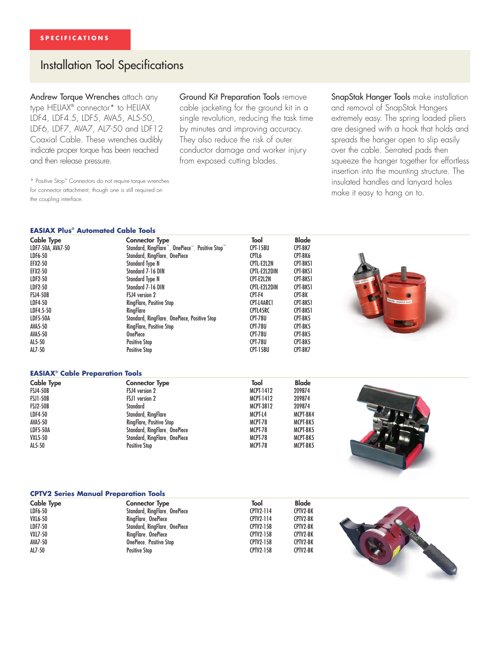### Installation Tool Specifications

Andrew Torque Wrenches attach any type HELIAX® connector\* to HELIAX LDF4, LDF4.5, LDF5, AVA5, AL5-50, LDF6, LDF7, AVA7, AL7-50 and LDF12 Coaxial Cable. These wrenches audibly indicate proper torque has been reached and then release pressure.

Ground Kit Preparation Tools remove

cable jacketing for the ground kit in a single revolution, reducing the task time by minutes and improving accuracy. They also reduce the risk of outer conductor damage and worker injury from exposed cutting blades.

SnapStak Hanger Tools make installation and removal of SnapStak Hangers extremely easy. The spring loaded pliers are designed with a hook that holds and spreads the hanger open to slip easily over the cable. Serrated pads then squeeze the hanger together for effortless insertion into the mounting structure. The insulated handles and lanyard holes make it easy to hang on to.

\* Positive Stop™ Connectors do not require torque wrenches for connector attachment, though one is still required on the coupling interface.

#### **EASIAX Plus® Automated Cable Tools**

| Cable Type                                        | <b>Connector Type</b>                           | Tool             | Blade        |                        |
|---------------------------------------------------|-------------------------------------------------|------------------|--------------|------------------------|
| LDF7-50A, AVA7-50                                 | Standard, RingFlare™, OnePiece™, Positive Stop™ | <b>CPT-158U</b>  | CPT-BK7      |                        |
| LDF6-50                                           | Standard, RingFlare, OnePiece                   | CPTL6            | CPT-BK6      |                        |
| <b>EFX2-50</b>                                    | <b>Standard Type N</b>                          | CPTL-E2L2N       | CPT-BKS1     |                        |
| <b>EFX2-50</b>                                    | Standard 7-16 DIN                               | CPTL-E2L2DIN     | CPT-BKS1     |                        |
| LDF2-50                                           | <b>Standard Type N</b>                          | CPT-E2L2N        | CPT-BKS1     |                        |
| LDF2-50                                           | Standard 7-16 DIN                               | CPTL-E2L2DIN     | CPT-BKS1     |                        |
| <b>FSJ4-50B</b>                                   | FSJ4 version 2                                  | CPT-F4           | CPT-BK       |                        |
| LDF4-50                                           | RingFlare, Positive Stop                        | CPT-L4ARC1       | CPT-BKS1     | <b>HIPM RAMGE: 405</b> |
| LDF4.5-50                                         | RingFlare                                       | CPTL45RC         | CPT-BKS1     |                        |
| <b>LDF5-50A</b>                                   | Standard, RingFlare, OnePiece, Positive Stop    | <b>CPT-78U</b>   | CPT-BK5      |                        |
| AVA5-50                                           | RingFlare, Positive Stop                        | <b>CPT-78U</b>   | CPT-BK5      |                        |
| AVA5-50                                           | <b>OnePiece</b>                                 | <b>CPT-78U</b>   | CPT-BK5      |                        |
| AL5-50                                            | <b>Positive Stop</b>                            | <b>CPT-78U</b>   | CPT-BK5      |                        |
| AL7-50                                            | <b>Positive Stop</b>                            | <b>CPT-158U</b>  | CPT-BK7      |                        |
|                                                   |                                                 |                  |              |                        |
| <b>EASIAX<sup>®</sup> Cable Preparation Tools</b> |                                                 |                  |              |                        |
| <b>Cable Type</b>                                 | <b>Connector Type</b>                           | Tool             | <b>Blade</b> |                        |
| <b>FSJ4-50B</b>                                   | FSJ4 version 2                                  | <b>MCPT-1412</b> | 209874       |                        |
| <b>FSJ1-50B</b>                                   | FSJ1 version 2                                  | <b>MCPT-1412</b> | 209874       |                        |
| <b>FSJ2-50B</b>                                   | <b>Standard</b>                                 | <b>MCPT-3812</b> | 209874       |                        |
| LDF4-50                                           | Standard, RingFlare                             | MCPT-L4          | MCPT-BK4     |                        |
| AVA5-50                                           | RingFlare, Positive Stop                        | MCPT-78          | MCPT-BK5     |                        |
| <b>LDF5-50A</b>                                   | Standard, RingFlare, OnePiece                   | MCPT-78          | MCPT-BK5     |                        |
| <b>VXL5-50</b>                                    | Standard, RingFlare, OnePiece                   | MCPT-78          | MCPT-BK5     |                        |
| AL5-50                                            | <b>Positive Stop</b>                            | MCPT-78          | MCPT-BK5     |                        |
|                                                   |                                                 |                  |              |                        |
|                                                   |                                                 |                  |              |                        |
|                                                   |                                                 |                  |              |                        |

| <b>CPTV2 Series Manual Preparation Tools</b> |  |
|----------------------------------------------|--|
|----------------------------------------------|--|

| <b>Cable Type</b> | Connector Type                | Tool             | <b>Blade</b> |  |
|-------------------|-------------------------------|------------------|--------------|--|
| LDF6-50           | Standard, RingFlare, OnePiece | CPTV2-114        | CPTV2-BK     |  |
| <b>VXL6-50</b>    | RingFlare, OnePiece           | CPTV2-114        | CPTV2-BK     |  |
| LDF7-50           | Standard, RingFlare, OnePiece | <b>CPTV2-158</b> | CPTV2-BK     |  |
| <b>VXL7-50</b>    | RingFlare, OnePiece           | <b>CPTV2-158</b> | CPTV2-BK     |  |
| AVA7-50           | OnePiece, Positive Stop       | CPTV2-158        | CPTV2-BK     |  |
| AL7-50            | <b>Positive Stop</b>          | <b>CPTV2-158</b> | CPTV2-BK     |  |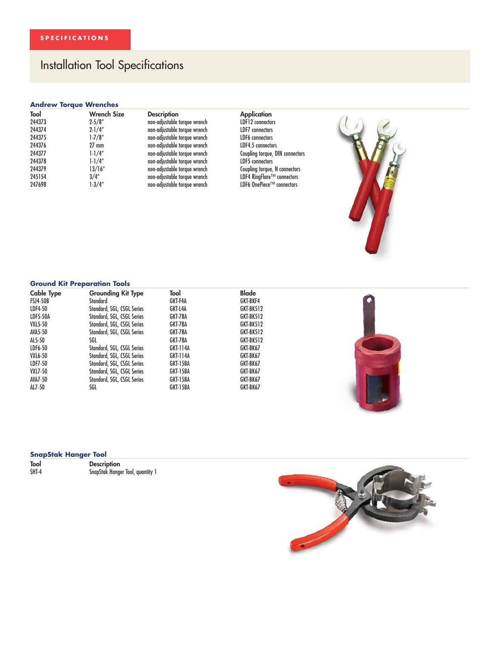## Installation Tool Specifications

#### **Andrew Torque Wrenches**

| Tool   | <b>Wrench Size</b> | <b>Description</b>           | <b>Application</b>            |
|--------|--------------------|------------------------------|-------------------------------|
| 244373 | $2 - 5/8"$         | non-adjustable torque wrench | LDF12 connectors              |
| 244374 | $2 - 1/4"$         | non-adjustable torque wrench | <b>LDF7</b> connectors        |
| 244375 | $1 - 7/8''$        | non-adjustable torque wrench | LDF6 connectors               |
| 244376 | $27 \text{ mm}$    | non-adjustable torque wrench | LDF4.5 connectors             |
| 244377 | $1 - 1/4''$        | non-adjustable torque wrench | Coupling torque, DIN connecto |
| 244378 | $1 - 1/4''$        | non-adjustable torque wrench | LDF5 connectors               |
| 244379 | 13/16''            | non-adjustable torque wrench | Coupling torque, N connectors |
| 245154 | 3/4''              | non-adjustable torque wrench | LDF4 RingFlare™ connectors    |
| 247698 | $1-3/4"$           | non-adjustable torque wrench | LDF6 OnePiece™ connectors     |

**Franch Size Application**<br>The UDF12 connectors Condition Application -<br>2014 12-5 2-5 10-5 10-5 10-5 10-5<br>2017 10-57 2-575 10-51-500 10-51-500 10-51-500 10-51-500 10-51-51-51-51-51-5 24 stable torque wrench LDF7 connectors<br>2014 2-10 stable torque wrench 244375 1-7/8" non-adjustable torque wrench LDF6 connectors Coupling torque, DIN connectors<br>LDF5 connectors



### **Ground Kit Preparation Tools**

| <b>Cable Type</b> | <b>Grounding Kit Type</b>  | Tool            | <b>Blade</b> |  |
|-------------------|----------------------------|-----------------|--------------|--|
| <b>FSJ4-50B</b>   | Standard                   | GKT-F4A         | GKT-BKF4     |  |
| LDF4-50           | Standard, SGL, CSGL Series | GKT-L4A         | GKT-BK512    |  |
| <b>LDF5-50A</b>   | Standard, SGL, CSGL Series | GKT-78A         | GKT-BK512    |  |
| <b>VXL5-50</b>    | Standard, SGL, CSGL Series | GKT-78A         | GKT-BK512    |  |
| AVA5-50           | Standard, SGL, CSGL Series | GKT-78A         | GKT-BK512    |  |
| AL5-50            | SGL                        | GKT-78A         | GKT-BK512    |  |
| LDF6-50           | Standard, SGL, CSGL Series | GKT-114A        | GKT-BK67     |  |
| <b>VXL6-50</b>    | Standard, SGL, CSGL Series | GKT-114A        | GKT-BK67     |  |
| LDF7-50           | Standard, SGL, CSGL Series | GKT-158A        | GKT-BK67     |  |
| <b>VXL7-50</b>    | Standard, SGL, CSGL Series | GKT-158A        | GKT-BK67     |  |
| <b>AVA7-50</b>    | Standard, SGL, CSGL Series | GKT-158A        | GKT-BK67     |  |
| AL7-50            | SGL                        | <b>GKT-158A</b> | GKT-BK67     |  |

#### **SnapStak Hanger Tool**

| Tool  | <b>Description</b>               |
|-------|----------------------------------|
| SHT-4 | SnapStak Hanger Tool, quantity 1 |